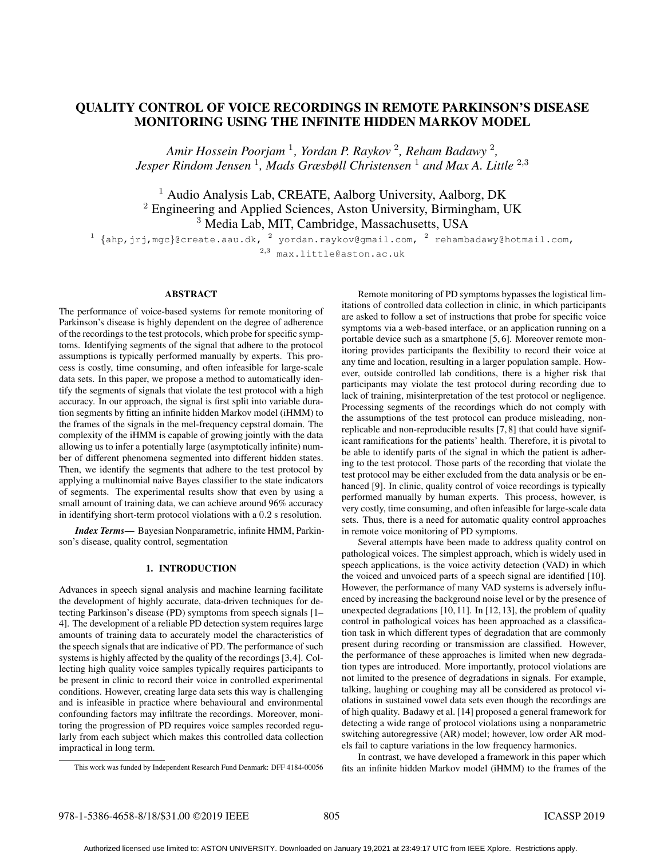# QUALITY CONTROL OF VOICE RECORDINGS IN REMOTE PARKINSON'S DISEASE MONITORING USING THE INFINITE HIDDEN MARKOV MODEL

*Amir Hossein Poorjam* <sup>1</sup> *, Yordan P. Raykov* <sup>2</sup> *, Reham Badawy* <sup>2</sup> *, Jesper Rindom Jensen* <sup>1</sup> *, Mads Græsbøll Christensen* <sup>1</sup> *and Max A. Little* <sup>2</sup>,<sup>3</sup>

<sup>1</sup> Audio Analysis Lab, CREATE, Aalborg University, Aalborg, DK <sup>2</sup> Engineering and Applied Sciences, Aston University, Birmingham, UK <sup>3</sup> Media Lab, MIT, Cambridge, Massachusetts, USA

 $^1$  {ahp,jrj,mgc}@create.aau.dk,  $^2$  yordan.raykov@gmail.com,  $^2$  rehambadawy@hotmail.com, <sup>2</sup>,<sup>3</sup> max.little@aston.ac.uk

# ABSTRACT

The performance of voice-based systems for remote monitoring of Parkinson's disease is highly dependent on the degree of adherence of the recordings to the test protocols, which probe for specific symptoms. Identifying segments of the signal that adhere to the protocol assumptions is typically performed manually by experts. This process is costly, time consuming, and often infeasible for large-scale data sets. In this paper, we propose a method to automatically identify the segments of signals that violate the test protocol with a high accuracy. In our approach, the signal is first split into variable duration segments by fitting an infinite hidden Markov model (iHMM) to the frames of the signals in the mel-frequency cepstral domain. The complexity of the iHMM is capable of growing jointly with the data allowing us to infer a potentially large (asymptotically infinite) number of different phenomena segmented into different hidden states. Then, we identify the segments that adhere to the test protocol by applying a multinomial naive Bayes classifier to the state indicators of segments. The experimental results show that even by using a small amount of training data, we can achieve around 96% accuracy in identifying short-term protocol violations with a 0.2 s resolution.

*Index Terms*— Bayesian Nonparametric, infinite HMM, Parkinson's disease, quality control, segmentation

## 1. INTRODUCTION

Advances in speech signal analysis and machine learning facilitate the development of highly accurate, data-driven techniques for detecting Parkinson's disease (PD) symptoms from speech signals [1– 4]. The development of a reliable PD detection system requires large amounts of training data to accurately model the characteristics of the speech signals that are indicative of PD. The performance of such systems is highly affected by the quality of the recordings [3,4]. Collecting high quality voice samples typically requires participants to be present in clinic to record their voice in controlled experimental conditions. However, creating large data sets this way is challenging and is infeasible in practice where behavioural and environmental confounding factors may infiltrate the recordings. Moreover, monitoring the progression of PD requires voice samples recorded regularly from each subject which makes this controlled data collection impractical in long term.

Remote monitoring of PD symptoms bypasses the logistical limitations of controlled data collection in clinic, in which participants are asked to follow a set of instructions that probe for specific voice symptoms via a web-based interface, or an application running on a portable device such as a smartphone [5, 6]. Moreover remote monitoring provides participants the flexibility to record their voice at any time and location, resulting in a larger population sample. However, outside controlled lab conditions, there is a higher risk that participants may violate the test protocol during recording due to lack of training, misinterpretation of the test protocol or negligence. Processing segments of the recordings which do not comply with the assumptions of the test protocol can produce misleading, nonreplicable and non-reproducible results [7, 8] that could have significant ramifications for the patients' health. Therefore, it is pivotal to be able to identify parts of the signal in which the patient is adhering to the test protocol. Those parts of the recording that violate the test protocol may be either excluded from the data analysis or be enhanced [9]. In clinic, quality control of voice recordings is typically performed manually by human experts. This process, however, is very costly, time consuming, and often infeasible for large-scale data sets. Thus, there is a need for automatic quality control approaches in remote voice monitoring of PD symptoms.

Several attempts have been made to address quality control on pathological voices. The simplest approach, which is widely used in speech applications, is the voice activity detection (VAD) in which the voiced and unvoiced parts of a speech signal are identified [10]. However, the performance of many VAD systems is adversely influenced by increasing the background noise level or by the presence of unexpected degradations [10, 11]. In [12, 13], the problem of quality control in pathological voices has been approached as a classification task in which different types of degradation that are commonly present during recording or transmission are classified. However, the performance of these approaches is limited when new degradation types are introduced. More importantly, protocol violations are not limited to the presence of degradations in signals. For example, talking, laughing or coughing may all be considered as protocol violations in sustained vowel data sets even though the recordings are of high quality. Badawy et al. [14] proposed a general framework for detecting a wide range of protocol violations using a nonparametric switching autoregressive (AR) model; however, low order AR models fail to capture variations in the low frequency harmonics.

In contrast, we have developed a framework in this paper which fits an infinite hidden Markov model (iHMM) to the frames of the

This work was funded by Independent Research Fund Denmark: DFF 4184-00056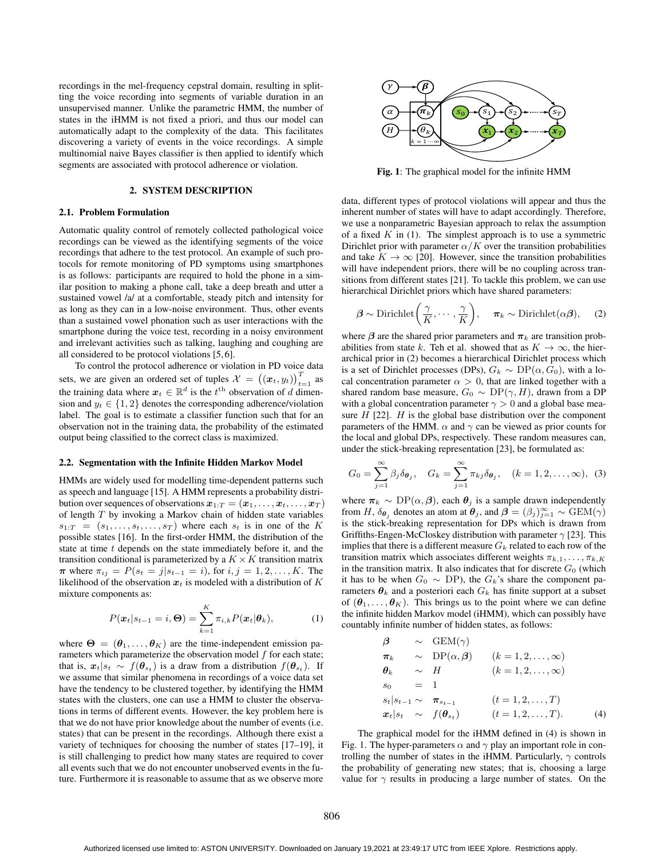recordings in the mel-frequency cepstral domain, resulting in splitting the voice recording into segments of variable duration in an unsupervised manner. Unlike the parametric HMM, the number of states in the iHMM is not fixed a priori, and thus our model can automatically adapt to the complexity of the data. This facilitates discovering a variety of events in the voice recordings. A simple multinomial naive Bayes classifier is then applied to identify which segments are associated with protocol adherence or violation.

#### 2. SYSTEM DESCRIPTION

#### 2.1. Problem Formulation

Automatic quality control of remotely collected pathological voice recordings can be viewed as the identifying segments of the voice recordings that adhere to the test protocol. An example of such protocols for remote monitoring of PD symptoms using smartphones is as follows: participants are required to hold the phone in a similar position to making a phone call, take a deep breath and utter a sustained vowel /a/ at a comfortable, steady pitch and intensity for as long as they can in a low-noise environment. Thus, other events than a sustained vowel phonation such as user interactions with the smartphone during the voice test, recording in a noisy environment and irrelevant activities such as talking, laughing and coughing are all considered to be protocol violations [5, 6].

To control the protocol adherence or violation in PD voice data sets, we are given an ordered set of tuples  $\mathcal{X} = ((x_t, y_t))_{t=1}^T$  as the training data where  $x_t \in \mathbb{R}^d$  is the  $t^{\text{th}}$  observation of d dimension and  $y_t \in \{1, 2\}$  denotes the corresponding adherence/violation label. The goal is to estimate a classifier function such that for an observation not in the training data, the probability of the estimated output being classified to the correct class is maximized.

#### 2.2. Segmentation with the Infinite Hidden Markov Model

HMMs are widely used for modelling time-dependent patterns such as speech and language [15]. A HMM represents a probability distribution over sequences of observations  $x_{1:T} = (x_1, \ldots, x_t, \ldots, x_T)$ of length  $T$  by invoking a Markov chain of hidden state variables  $s_{1:T} = (s_1, \ldots, s_t, \ldots, s_T)$  where each  $s_t$  is in one of the K possible states [16]. In the first-order HMM, the distribution of the state at time t depends on the state immediately before it, and the transition conditional is parameterized by a  $K \times K$  transition matrix  $\pi$  where  $\pi_{ij} = P(s_i = j | s_{i-1} = i)$ , for  $i, j = 1, 2, ..., K$ . The likelihood of the observation  $x_t$  is modeled with a distribution of K mixture components as:

$$
P(\boldsymbol{x}_t|s_{t-1}=i,\boldsymbol{\Theta})=\sum_{k=1}^K \pi_{i,k} P(\boldsymbol{x}_t|\boldsymbol{\theta}_k),
$$
 (1)

where  $\Theta = (\theta_1, \dots, \theta_K)$  are the time-independent emission parameters which parameterize the observation model  $f$  for each state; that is,  $x_t|s_t \sim f(\theta_{s_t})$  is a draw from a distribution  $f(\theta_{s_t})$ . If we assume that similar phenomena in recordings of a voice data set have the tendency to be clustered together, by identifying the HMM states with the clusters, one can use a HMM to cluster the observations in terms of different events. However, the key problem here is that we do not have prior knowledge about the number of events (i.e. states) that can be present in the recordings. Although there exist a variety of techniques for choosing the number of states [17–19], it is still challenging to predict how many states are required to cover all events such that we do not encounter unobserved events in the future. Furthermore it is reasonable to assume that as we observe more



Fig. 1: The graphical model for the infinite HMM

data, different types of protocol violations will appear and thus the inherent number of states will have to adapt accordingly. Therefore, we use a nonparametric Bayesian approach to relax the assumption of a fixed  $K$  in (1). The simplest approach is to use a symmetric Dirichlet prior with parameter  $\alpha/K$  over the transition probabilities and take  $K \to \infty$  [20]. However, since the transition probabilities will have independent priors, there will be no coupling across transitions from different states [21]. To tackle this problem, we can use hierarchical Dirichlet priors which have shared parameters:

$$
\boldsymbol{\beta} \sim \text{Dirichlet}\left(\frac{\gamma}{K}, \cdots, \frac{\gamma}{K}\right), \quad \boldsymbol{\pi}_k \sim \text{Dirichlet}(\alpha \boldsymbol{\beta}), \quad (2)
$$

where  $\beta$  are the shared prior parameters and  $\pi_k$  are transition probabilities from state k. Teh et al. showed that as  $K \to \infty$ , the hierarchical prior in (2) becomes a hierarchical Dirichlet process which is a set of Dirichlet processes (DPs),  $G_k \sim DP(\alpha, G_0)$ , with a local concentration parameter  $\alpha > 0$ , that are linked together with a shared random base measure,  $G_0 \sim DP(\gamma, H)$ , drawn from a DP with a global concentration parameter  $\gamma > 0$  and a global base measure  $H$  [22].  $H$  is the global base distribution over the component parameters of the HMM.  $\alpha$  and  $\gamma$  can be viewed as prior counts for the local and global DPs, respectively. These random measures can, under the stick-breaking representation [23], be formulated as:

$$
G_0 = \sum_{j=1}^{\infty} \beta_j \delta_{\boldsymbol{\theta}_j}, \quad G_k = \sum_{j=1}^{\infty} \pi_{kj} \delta_{\boldsymbol{\theta}_j}, \quad (k = 1, 2, \dots, \infty), \tag{3}
$$

where  $\pi_k \sim \text{DP}(\alpha, \beta)$ , each  $\theta_j$  is a sample drawn independently from H,  $\delta_{\theta_j}$  denotes an atom at  $\theta_j$ , and  $\beta = (\beta_j)_{j=1}^{\infty} \sim \text{GEM}(\gamma)$ is the stick-breaking representation for DPs which is drawn from Griffiths-Engen-McCloskey distribution with parameter  $\gamma$  [23]. This implies that there is a different measure  $G_k$  related to each row of the transition matrix which associates different weights  $\pi_{k,1}, \ldots, \pi_{k,K}$ in the transition matrix. It also indicates that for discrete  $G_0$  (which it has to be when  $G_0 \sim \text{DP}$ ), the  $G_k$ 's share the component parameters  $\theta_k$  and a posteriori each  $G_k$  has finite support at a subset of  $(\theta_1, \ldots, \theta_K)$ . This brings us to the point where we can define the infinite hidden Markov model (iHMM), which can possibly have countably infinite number of hidden states, as follows:

$$
\beta \sim \text{GEM}(\gamma)
$$
\n
$$
\pi_k \sim \text{DP}(\alpha, \beta) \quad (k = 1, 2, ..., \infty)
$$
\n
$$
\theta_k \sim H \quad (k = 1, 2, ..., \infty)
$$
\n
$$
s_0 = 1
$$
\n
$$
s_t | s_{t-1} \sim \pi_{s_{t-1}} \quad (t = 1, 2, ..., T)
$$
\n
$$
\mathbf{x}_t | s_t \sim f(\theta_{s_t}) \quad (t = 1, 2, ..., T). \quad (4)
$$

The graphical model for the iHMM defined in (4) is shown in Fig. 1. The hyper-parameters  $\alpha$  and  $\gamma$  play an important role in controlling the number of states in the iHMM. Particularly,  $\gamma$  controls the probability of generating new states; that is, choosing a large value for  $\gamma$  results in producing a large number of states. On the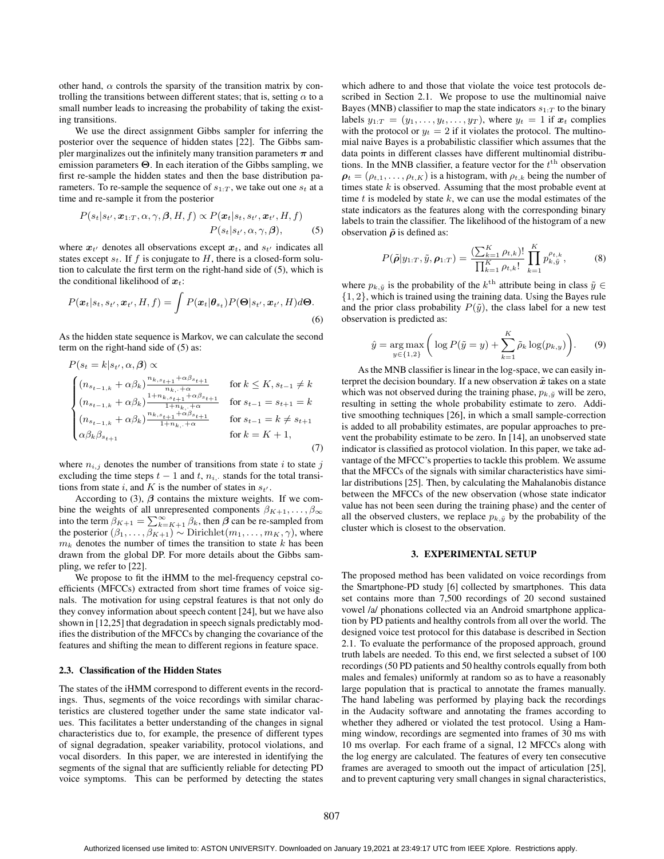other hand,  $\alpha$  controls the sparsity of the transition matrix by controlling the transitions between different states; that is, setting  $\alpha$  to a small number leads to increasing the probability of taking the existing transitions.

We use the direct assignment Gibbs sampler for inferring the posterior over the sequence of hidden states [22]. The Gibbs sampler marginalizes out the infinitely many transition parameters  $\pi$  and emission parameters Θ. In each iteration of the Gibbs sampling, we first re-sample the hidden states and then the base distribution parameters. To re-sample the sequence of  $s_{1:T}$ , we take out one  $s_t$  at a time and re-sample it from the posterior

$$
P(s_t|s_{t'}, \boldsymbol{x}_{1:T}, \alpha, \gamma, \boldsymbol{\beta}, H, f) \propto P(\boldsymbol{x}_t|s_t, s_{t'}, \boldsymbol{x}_{t'}, H, f)
$$
  

$$
P(s_t|s_{t'}, \alpha, \gamma, \boldsymbol{\beta}), \qquad (5)
$$

where  $x_{t'}$  denotes all observations except  $x_t$ , and  $s_{t'}$  indicates all states except  $s_t$ . If f is conjugate to H, there is a closed-form solution to calculate the first term on the right-hand side of (5), which is the conditional likelihood of  $x_t$ :

$$
P(\boldsymbol{x}_t|s_t,s_{t'},\boldsymbol{x}_{t'},H,f)=\int P(\boldsymbol{x}_t|\boldsymbol{\theta}_{s_t})P(\boldsymbol{\Theta}|s_{t'},\boldsymbol{x}_{t'},H)d\boldsymbol{\Theta}.
$$
\n(6)

As the hidden state sequence is Markov, we can calculate the second term on the right-hand side of (5) as:

$$
P(s_t = k | s_{t'}, \alpha, \beta) \propto
$$
  
\n
$$
\begin{cases}\n(n_{s_{t-1,k}} + \alpha \beta_k) \frac{n_{k,s_{t+1}} + \alpha \beta_{s_{t+1}}}{n_{k, \dots} + \alpha} & \text{for } k \le K, s_{t-1} \ne k \\
(n_{s_{t-1,k}} + \alpha \beta_k) \frac{1 + n_{k,s_{t+1}} + \alpha \beta_{s_{t+1}}}{1 + n_{k, \dots} + \alpha} & \text{for } s_{t-1} = s_{t+1} = k \\
(n_{s_{t-1,k}} + \alpha \beta_k) \frac{n_{k,s_{t+1}} + \alpha \beta_{s_{t+1}}}{1 + n_{k, \dots} + \alpha} & \text{for } s_{t-1} = k \ne s_{t+1} \\
\alpha \beta_k \beta_{s_{t+1}} & \text{for } k = K + 1,\n\end{cases}
$$
\n(7)

where  $n_{i,j}$  denotes the number of transitions from state i to state j excluding the time steps  $t - 1$  and  $t, n_{i}$ , stands for the total transitions from state i, and K is the number of states in  $s_t$ .

According to (3),  $\beta$  contains the mixture weights. If we combine the weights of all unrepresented components  $\beta_{K+1}, \ldots, \beta_{\infty}$ into the term  $\beta_{K+1} = \sum_{k=K+1}^{\infty} \beta_k$ , then  $\beta$  can be re-sampled from the posterior  $(\beta_1, \ldots, \beta_{K+1}) \sim \text{Dirichlet}(m_1, \ldots, m_K, \gamma)$ , where  $m_k$  denotes the number of times the transition to state k has been drawn from the global DP. For more details about the Gibbs sampling, we refer to [22].

We propose to fit the iHMM to the mel-frequency cepstral coefficients (MFCCs) extracted from short time frames of voice signals. The motivation for using cepstral features is that not only do they convey information about speech content [24], but we have also shown in [12,25] that degradation in speech signals predictably modifies the distribution of the MFCCs by changing the covariance of the features and shifting the mean to different regions in feature space.

## 2.3. Classification of the Hidden States

The states of the iHMM correspond to different events in the recordings. Thus, segments of the voice recordings with similar characteristics are clustered together under the same state indicator values. This facilitates a better understanding of the changes in signal characteristics due to, for example, the presence of different types of signal degradation, speaker variability, protocol violations, and vocal disorders. In this paper, we are interested in identifying the segments of the signal that are sufficiently reliable for detecting PD voice symptoms. This can be performed by detecting the states

which adhere to and those that violate the voice test protocols described in Section 2.1. We propose to use the multinomial naive Bayes (MNB) classifier to map the state indicators  $s_{1:T}$  to the binary labels  $y_{1:T} = (y_1, \ldots, y_t, \ldots, y_T)$ , where  $y_t = 1$  if  $x_t$  complies with the protocol or  $y_t = 2$  if it violates the protocol. The multinomial naive Bayes is a probabilistic classifier which assumes that the data points in different classes have different multinomial distributions. In the MNB classifier, a feature vector for the  $t<sup>th</sup>$  observation  $\boldsymbol{\rho}_t = (\rho_{t,1}, \dots, \rho_{t,K})$  is a histogram, with  $\rho_{t,k}$  being the number of times state  $k$  is observed. Assuming that the most probable event at time  $t$  is modeled by state  $k$ , we can use the modal estimates of the state indicators as the features along with the corresponding binary labels to train the classifier. The likelihood of the histogram of a new observation  $\tilde{\rho}$  is defined as:

$$
P(\tilde{\rho}|y_{1:T}, \tilde{y}, \rho_{1:T}) = \frac{\left(\sum_{k=1}^{K} \rho_{t,k}\right)!}{\prod_{k=1}^{K} \rho_{t,k}!} \prod_{k=1}^{K} p_{k,\tilde{y}}^{\rho_{t,k}},
$$
(8)

where  $p_{k,\tilde{y}}$  is the probability of the  $k^{\text{th}}$  attribute being in class  $\tilde{y} \in$ {1, 2}, which is trained using the training data. Using the Bayes rule and the prior class probability  $P(\tilde{y})$ , the class label for a new test observation is predicted as:

$$
\hat{y} = \underset{y \in \{1,2\}}{\arg \max} \left( \log P(\tilde{y} = y) + \sum_{k=1}^{K} \tilde{\rho}_k \log(p_{k,y}) \right). \tag{9}
$$

As the MNB classifier is linear in the log-space, we can easily interpret the decision boundary. If a new observation  $\tilde{x}$  takes on a state which was not observed during the training phase,  $p_{k,\tilde{y}}$  will be zero, resulting in setting the whole probability estimate to zero. Additive smoothing techniques [26], in which a small sample-correction is added to all probability estimates, are popular approaches to prevent the probability estimate to be zero. In [14], an unobserved state indicator is classified as protocol violation. In this paper, we take advantage of the MFCC's properties to tackle this problem. We assume that the MFCCs of the signals with similar characteristics have similar distributions [25]. Then, by calculating the Mahalanobis distance between the MFCCs of the new observation (whose state indicator value has not been seen during the training phase) and the center of all the observed clusters, we replace  $p_{k,\tilde{y}}$  by the probability of the cluster which is closest to the observation.

#### 3. EXPERIMENTAL SETUP

The proposed method has been validated on voice recordings from the Smartphone-PD study [6] collected by smartphones. This data set contains more than 7,500 recordings of 20 second sustained vowel /a/ phonations collected via an Android smartphone application by PD patients and healthy controls from all over the world. The designed voice test protocol for this database is described in Section 2.1. To evaluate the performance of the proposed approach, ground truth labels are needed. To this end, we first selected a subset of 100 recordings (50 PD patients and 50 healthy controls equally from both males and females) uniformly at random so as to have a reasonably large population that is practical to annotate the frames manually. The hand labeling was performed by playing back the recordings in the Audacity software and annotating the frames according to whether they adhered or violated the test protocol. Using a Hamming window, recordings are segmented into frames of 30 ms with 10 ms overlap. For each frame of a signal, 12 MFCCs along with the log energy are calculated. The features of every ten consecutive frames are averaged to smooth out the impact of articulation [25], and to prevent capturing very small changes in signal characteristics,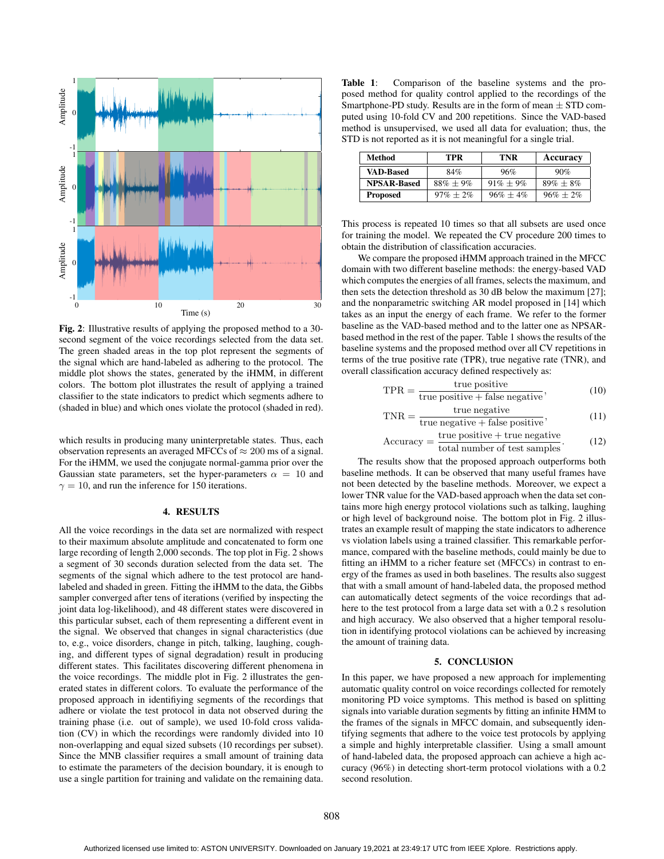

Fig. 2: Illustrative results of applying the proposed method to a 30 second segment of the voice recordings selected from the data set. The green shaded areas in the top plot represent the segments of the signal which are hand-labeled as adhering to the protocol. The middle plot shows the states, generated by the iHMM, in different colors. The bottom plot illustrates the result of applying a trained classifier to the state indicators to predict which segments adhere to (shaded in blue) and which ones violate the protocol (shaded in red).

which results in producing many uninterpretable states. Thus, each observation represents an averaged MFCCs of  $\approx 200$  ms of a signal. For the iHMM, we used the conjugate normal-gamma prior over the Gaussian state parameters, set the hyper-parameters  $\alpha = 10$  and  $\gamma = 10$ , and run the inference for 150 iterations.

## 4. RESULTS

All the voice recordings in the data set are normalized with respect to their maximum absolute amplitude and concatenated to form one large recording of length 2,000 seconds. The top plot in Fig. 2 shows a segment of 30 seconds duration selected from the data set. The segments of the signal which adhere to the test protocol are handlabeled and shaded in green. Fitting the iHMM to the data, the Gibbs sampler converged after tens of iterations (verified by inspecting the joint data log-likelihood), and 48 different states were discovered in this particular subset, each of them representing a different event in the signal. We observed that changes in signal characteristics (due to, e.g., voice disorders, change in pitch, talking, laughing, coughing, and different types of signal degradation) result in producing different states. This facilitates discovering different phenomena in the voice recordings. The middle plot in Fig. 2 illustrates the generated states in different colors. To evaluate the performance of the proposed approach in identifiying segments of the recordings that adhere or violate the test protocol in data not observed during the training phase (i.e. out of sample), we used 10-fold cross validation (CV) in which the recordings were randomly divided into 10 non-overlapping and equal sized subsets (10 recordings per subset). Since the MNB classifier requires a small amount of training data to estimate the parameters of the decision boundary, it is enough to use a single partition for training and validate on the remaining data.

Table 1: Comparison of the baseline systems and the proposed method for quality control applied to the recordings of the Smartphone-PD study. Results are in the form of mean  $\pm$  STD computed using 10-fold CV and 200 repetitions. Since the VAD-based method is unsupervised, we used all data for evaluation; thus, the STD is not reported as it is not meaningful for a single trial.

| Method             | TPR          | TNR          | Accuracy       |
|--------------------|--------------|--------------|----------------|
| <b>VAD-Based</b>   | 84%          | 96%          | 90%            |
| <b>NPSAR-Based</b> | $88\% + 9\%$ | $91\% + 9\%$ | $89\% \pm 8\%$ |
| <b>Proposed</b>    | $97\% + 2\%$ | $96\% + 4\%$ | $96\% + 2\%$   |

This process is repeated 10 times so that all subsets are used once for training the model. We repeated the CV procedure 200 times to obtain the distribution of classification accuracies.

We compare the proposed iHMM approach trained in the MFCC domain with two different baseline methods: the energy-based VAD which computes the energies of all frames, selects the maximum, and then sets the detection threshold as 30 dB below the maximum [27]; and the nonparametric switching AR model proposed in [14] which takes as an input the energy of each frame. We refer to the former baseline as the VAD-based method and to the latter one as NPSARbased method in the rest of the paper. Table 1 shows the results of the baseline systems and the proposed method over all CV repetitions in terms of the true positive rate (TPR), true negative rate (TNR), and overall classification accuracy defined respectively as:

$$
TPR = \frac{\text{true positive}}{\text{true positive} + \text{false negative}},\tag{10}
$$

$$
TNR = \frac{\text{true negative}}{\text{true negative} + \text{false positive}},\tag{11}
$$

$$
Accuracy = \frac{true \text{ positive} + true \text{ negative}}{total \text{ number of test samples}}.
$$
 (12)

The results show that the proposed approach outperforms both baseline methods. It can be observed that many useful frames have not been detected by the baseline methods. Moreover, we expect a lower TNR value for the VAD-based approach when the data set contains more high energy protocol violations such as talking, laughing or high level of background noise. The bottom plot in Fig. 2 illustrates an example result of mapping the state indicators to adherence vs violation labels using a trained classifier. This remarkable performance, compared with the baseline methods, could mainly be due to fitting an iHMM to a richer feature set (MFCCs) in contrast to energy of the frames as used in both baselines. The results also suggest that with a small amount of hand-labeled data, the proposed method can automatically detect segments of the voice recordings that adhere to the test protocol from a large data set with a 0.2 s resolution and high accuracy. We also observed that a higher temporal resolution in identifying protocol violations can be achieved by increasing the amount of training data.

# 5. CONCLUSION

In this paper, we have proposed a new approach for implementing automatic quality control on voice recordings collected for remotely monitoring PD voice symptoms. This method is based on splitting signals into variable duration segments by fitting an infinite HMM to the frames of the signals in MFCC domain, and subsequently identifying segments that adhere to the voice test protocols by applying a simple and highly interpretable classifier. Using a small amount of hand-labeled data, the proposed approach can achieve a high accuracy (96%) in detecting short-term protocol violations with a 0.2 second resolution.